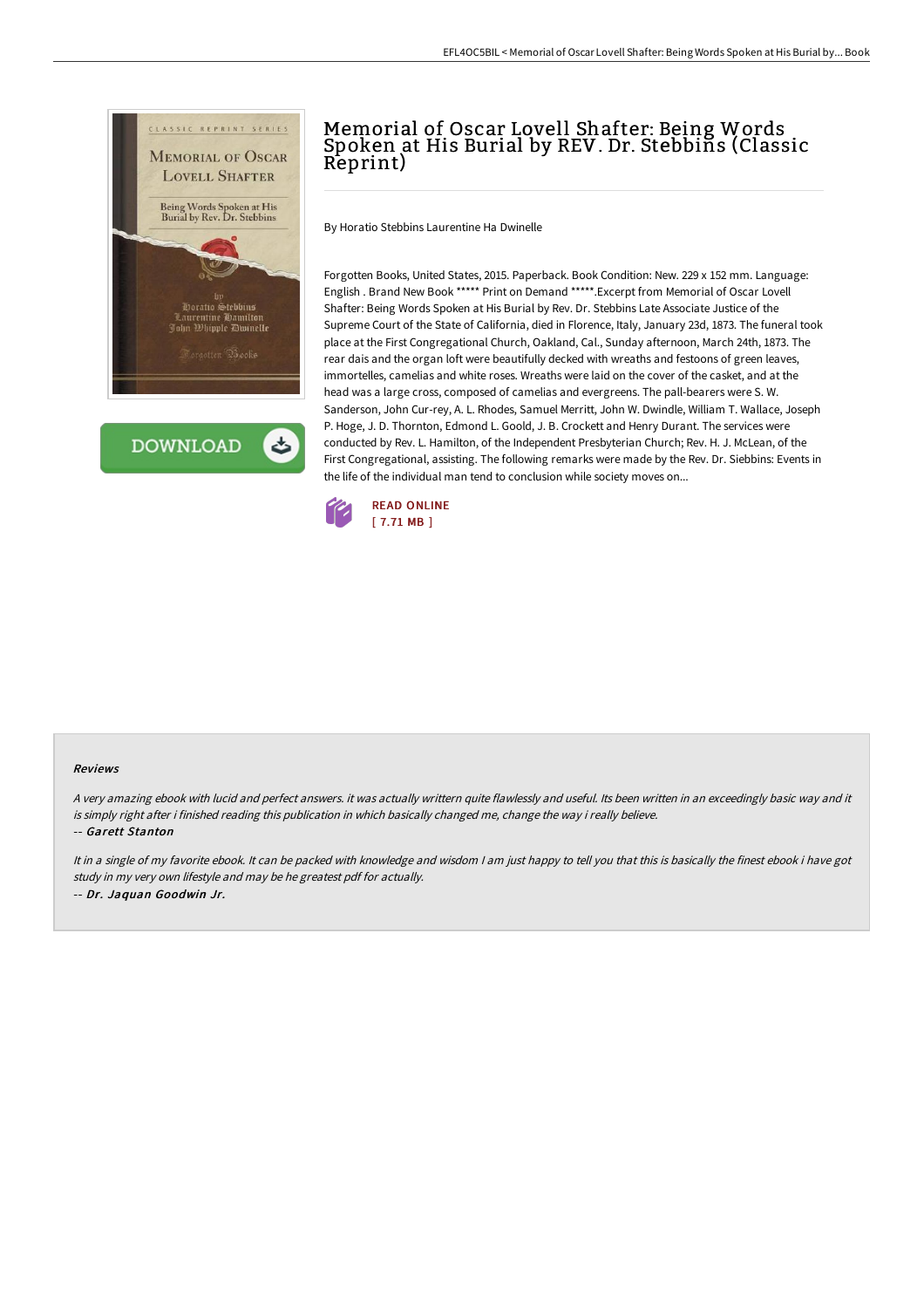

**DOWNLOAD** 

## Memorial of Oscar Lovell Shafter: Being Words Spoken at His Burial by REV. Dr. Stebbins (Classic Reprint)

By Horatio Stebbins Laurentine Ha Dwinelle

Forgotten Books, United States, 2015. Paperback. Book Condition: New. 229 x 152 mm. Language: English . Brand New Book \*\*\*\*\* Print on Demand \*\*\*\*\*.Excerpt from Memorial of Oscar Lovell Shafter: Being Words Spoken at His Burial by Rev. Dr. Stebbins Late Associate Justice of the Supreme Court of the State of California, died in Florence, Italy, January 23d, 1873. The funeral took place at the First Congregational Church, Oakland, Cal., Sunday afternoon, March 24th, 1873. The rear dais and the organ loft were beautifully decked with wreaths and festoons of green leaves, immortelles, camelias and white roses. Wreaths were laid on the cover of the casket, and at the head was a large cross, composed of camelias and evergreens. The pall-bearers were S. W. Sanderson, John Cur-rey, A. L. Rhodes, Samuel Merritt, John W. Dwindle, William T. Wallace, Joseph P. Hoge, J. D. Thornton, Edmond L. Goold, J. B. Crockett and Henry Durant. The services were conducted by Rev. L. Hamilton, of the Independent Presbyterian Church; Rev. H. J. McLean, of the First Congregational, assisting. The following remarks were made by the Rev. Dr. Siebbins: Events in the life of the individual man tend to conclusion while society moves on...



## Reviews

<sup>A</sup> very amazing ebook with lucid and perfect answers. it was actually writtern quite flawlessly and useful. Its been written in an exceedingly basic way and it is simply right after i finished reading this publication in which basically changed me, change the way i really believe. -- Garett Stanton

It in a single of my favorite ebook. It can be packed with knowledge and wisdom I am just happy to tell you that this is basically the finest ebook i have got study in my very own lifestyle and may be he greatest pdf for actually. -- Dr. Jaquan Goodwin Jr.